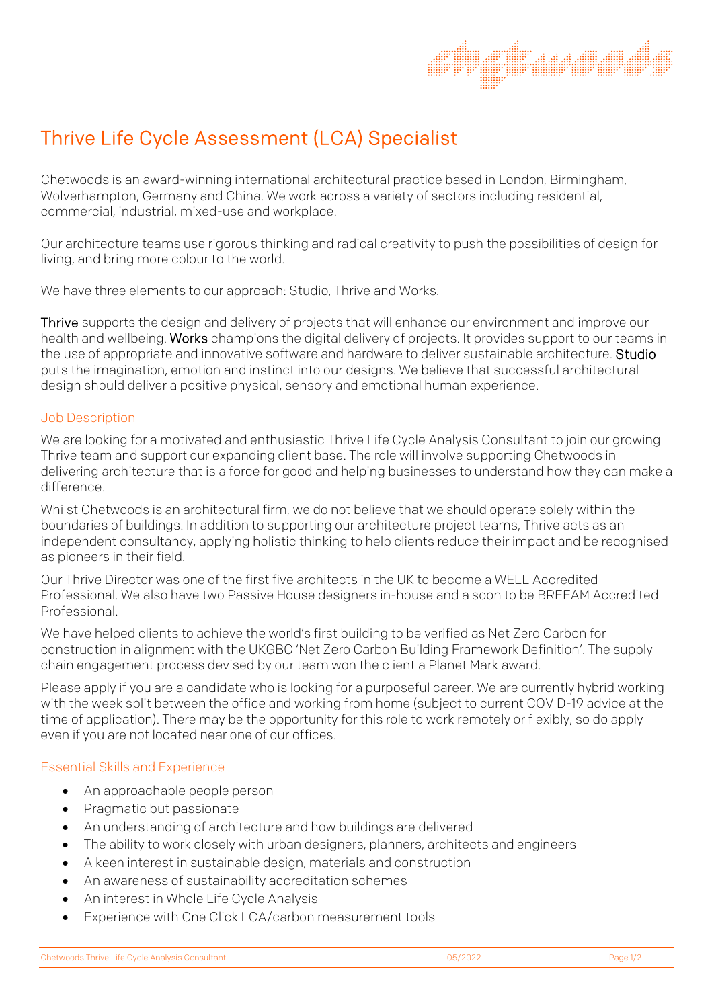# Thrive Life Cycle Assessment (LCA) Specialist

Chetwoods is an award-winning international architectural practice based in London, Birmingham, Wolverhampton, Germany and China. We work across a variety of sectors including residential, commercial, industrial, mixed-use and workplace.

Our architecture teams use rigorous thinking and radical creativity to push the possibilities of design for living, and bring more colour to the world.

We have three elements to our approach: Studio, Thrive and Works.

Thrive supports the design and delivery of projects that will enhance our environment and improve our health and wellbeing. Works champions the digital delivery of projects. It provides support to our teams in the use of appropriate and innovative software and hardware to deliver sustainable architecture. Studio puts the imagination, emotion and instinct into our designs. We believe that successful architectural design should deliver a positive physical, sensory and emotional human experience.

### Job Description

We are looking for a motivated and enthusiastic Thrive Life Cycle Analysis Consultant to join our growing Thrive team and support our expanding client base. The role will involve supporting Chetwoods in delivering architecture that is a force for good and helping businesses to understand how they can make a difference.

Whilst Chetwoods is an architectural firm, we do not believe that we should operate solely within the boundaries of buildings. In addition to supporting our architecture project teams, Thrive acts as an independent consultancy, applying holistic thinking to help clients reduce their impact and be recognised as pioneers in their field.

Our Thrive Director was one of the first five architects in the UK to become a WELL Accredited Professional. We also have two Passive House designers in-house and a soon to be BREEAM Accredited Professional.

We have helped clients to achieve the world's first building to be verified as Net Zero Carbon for construction in alignment with the UKGBC 'Net Zero Carbon Building Framework Definition'. The supply chain engagement process devised by our team won the client a Planet Mark award.

Please apply if you are a candidate who is looking for a purposeful career. We are currently hybrid working with the week split between the office and working from home (subject to current COVID-19 advice at the time of application). There may be the opportunity for this role to work remotely or flexibly, so do apply even if you are not located near one of our offices.

# Essential Skills and Experience

- An approachable people person
- Pragmatic but passionate
- An understanding of architecture and how buildings are delivered
- The ability to work closely with urban designers, planners, architects and engineers
- A keen interest in sustainable design, materials and construction
- An awareness of sustainability accreditation schemes
- An interest in Whole Life Cycle Analysis
- Experience with One Click LCA/carbon measurement tools